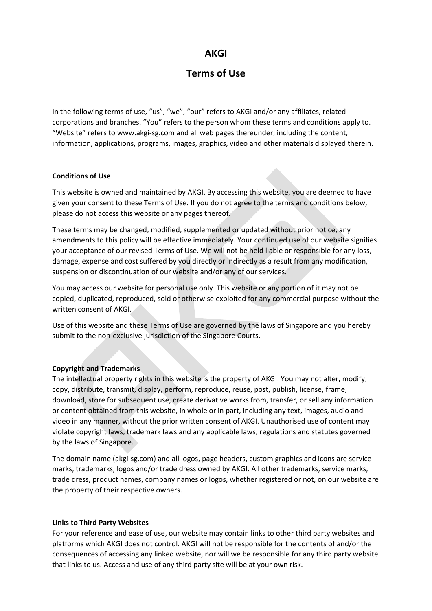# **AKGI**

# **Terms of Use**

In the following terms of use, "us", "we", "our" refers to AKGI and/or any affiliates, related corporations and branches. "You" refers to the person whom these terms and conditions apply to. "Website" refers to www.akgi-sg.com and all web pages thereunder, including the content, information, applications, programs, images, graphics, video and other materials displayed therein.

### **Conditions of Use**

This website is owned and maintained by AKGI. By accessing this website, you are deemed to have given your consent to these Terms of Use. If you do not agree to the terms and conditions below, please do not access this website or any pages thereof.

These terms may be changed, modified, supplemented or updated without prior notice, any amendments to this policy will be effective immediately. Your continued use of our website signifies your acceptance of our revised Terms of Use. We will not be held liable or responsible for any loss, damage, expense and cost suffered by you directly or indirectly as a result from any modification, suspension or discontinuation of our website and/or any of our services.

You may access our website for personal use only. This website or any portion of it may not be copied, duplicated, reproduced, sold or otherwise exploited for any commercial purpose without the written consent of AKGI.

Use of this website and these Terms of Use are governed by the laws of Singapore and you hereby submit to the non-exclusive jurisdiction of the Singapore Courts.

## **Copyright and Trademarks**

The intellectual property rights in this website is the property of AKGI. You may not alter, modify, copy, distribute, transmit, display, perform, reproduce, reuse, post, publish, license, frame, download, store for subsequent use, create derivative works from, transfer, or sell any information or content obtained from this website, in whole or in part, including any text, images, audio and video in any manner, without the prior written consent of AKGI. Unauthorised use of content may violate copyright laws, trademark laws and any applicable laws, regulations and statutes governed by the laws of Singapore.

The domain name (akgi-sg.com) and all logos, page headers, custom graphics and icons are service marks, trademarks, logos and/or trade dress owned by AKGI. All other trademarks, service marks, trade dress, product names, company names or logos, whether registered or not, on our website are the property of their respective owners.

#### **Links to Third Party Websites**

For your reference and ease of use, our website may contain links to other third party websites and platforms which AKGI does not control. AKGI will not be responsible for the contents of and/or the consequences of accessing any linked website, nor will we be responsible for any third party website that links to us. Access and use of any third party site will be at your own risk.